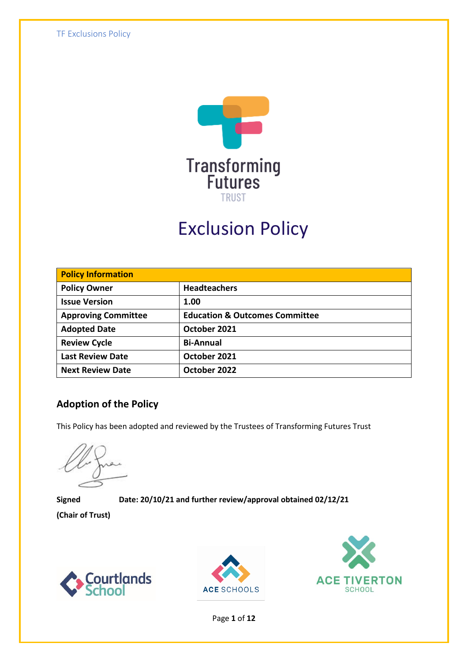

# Exclusion Policy

| <b>Policy Information</b>  |                                           |  |
|----------------------------|-------------------------------------------|--|
| <b>Policy Owner</b>        | <b>Headteachers</b>                       |  |
| <b>Issue Version</b>       | 1.00                                      |  |
| <b>Approving Committee</b> | <b>Education &amp; Outcomes Committee</b> |  |
| <b>Adopted Date</b>        | October 2021                              |  |
| <b>Review Cycle</b>        | <b>Bi-Annual</b>                          |  |
| <b>Last Review Date</b>    | October 2021                              |  |
| <b>Next Review Date</b>    | October 2022                              |  |

### **Adoption of the Policy**

This Policy has been adopted and reviewed by the Trustees of Transforming Futures Trust

**Signed Date: 20/10/21 and further review/approval obtained 02/12/21**

**(Chair of Trust)**







Page **1** of **12**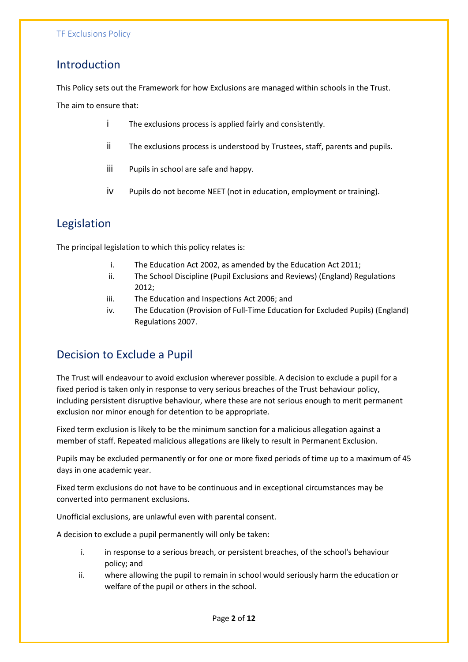### Introduction

This Policy sets out the Framework for how Exclusions are managed within schools in the Trust. The aim to ensure that:

- i The exclusions process is applied fairly and consistently.
- ii The exclusions process is understood by Trustees, staff, parents and pupils.
- iii Pupils in school are safe and happy.
- iv Pupils do not become NEET (not in education, employment or training).

# Legislation

The principal legislation to which this policy relates is:

- i. The Education Act 2002, as amended by the Education Act 2011;
- ii. The School Discipline (Pupil Exclusions and Reviews) (England) Regulations 2012;
- iii. The Education and Inspections Act 2006; and
- iv. The Education (Provision of Full-Time Education for Excluded Pupils) (England) Regulations 2007.

# Decision to Exclude a Pupil

The Trust will endeavour to avoid exclusion wherever possible. A decision to exclude a pupil for a fixed period is taken only in response to very serious breaches of the Trust behaviour policy, including persistent disruptive behaviour, where these are not serious enough to merit permanent exclusion nor minor enough for detention to be appropriate.

Fixed term exclusion is likely to be the minimum sanction for a malicious allegation against a member of staff. Repeated malicious allegations are likely to result in Permanent Exclusion.

Pupils may be excluded permanently or for one or more fixed periods of time up to a maximum of 45 days in one academic year.

Fixed term exclusions do not have to be continuous and in exceptional circumstances may be converted into permanent exclusions.

Unofficial exclusions, are unlawful even with parental consent.

A decision to exclude a pupil permanently will only be taken:

- i. in response to a serious breach, or persistent breaches, of the school's behaviour policy; and
- ii. where allowing the pupil to remain in school would seriously harm the education or welfare of the pupil or others in the school.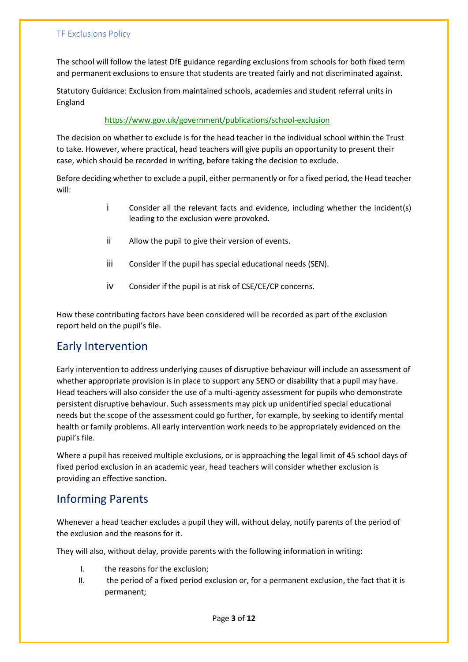The school will follow the latest DfE guidance regarding exclusions from schools for both fixed term and permanent exclusions to ensure that students are treated fairly and not discriminated against.

Statutory Guidance: Exclusion from maintained schools, academies and student referral units in England

#### <https://www.gov.uk/government/publications/school-exclusion>

The decision on whether to exclude is for the head teacher in the individual school within the Trust to take. However, where practical, head teachers will give pupils an opportunity to present their case, which should be recorded in writing, before taking the decision to exclude.

Before deciding whether to exclude a pupil, either permanently or for a fixed period, the Head teacher will:

- i Consider all the relevant facts and evidence, including whether the incident(s) leading to the exclusion were provoked.
- ii Allow the pupil to give their version of events.
- iii Consider if the pupil has special educational needs (SEN).
- iv Consider if the pupil is at risk of CSE/CE/CP concerns.

How these contributing factors have been considered will be recorded as part of the exclusion report held on the pupil's file.

### Early Intervention

Early intervention to address underlying causes of disruptive behaviour will include an assessment of whether appropriate provision is in place to support any SEND or disability that a pupil may have. Head teachers will also consider the use of a multi-agency assessment for pupils who demonstrate persistent disruptive behaviour. Such assessments may pick up unidentified special educational needs but the scope of the assessment could go further, for example, by seeking to identify mental health or family problems. All early intervention work needs to be appropriately evidenced on the pupil's file.

Where a pupil has received multiple exclusions, or is approaching the legal limit of 45 school days of fixed period exclusion in an academic year, head teachers will consider whether exclusion is providing an effective sanction.

### Informing Parents

Whenever a head teacher excludes a pupil they will, without delay, notify parents of the period of the exclusion and the reasons for it.

They will also, without delay, provide parents with the following information in writing:

- I. the reasons for the exclusion;
- II. the period of a fixed period exclusion or, for a permanent exclusion, the fact that it is permanent;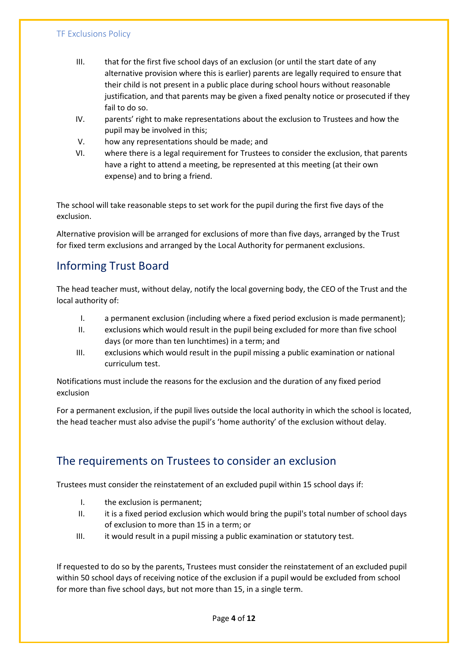- III. that for the first five school days of an exclusion (or until the start date of any alternative provision where this is earlier) parents are legally required to ensure that their child is not present in a public place during school hours without reasonable justification, and that parents may be given a fixed penalty notice or prosecuted if they fail to do so.
- IV. parents' right to make representations about the exclusion to Trustees and how the pupil may be involved in this;
- V. how any representations should be made; and
- VI. where there is a legal requirement for Trustees to consider the exclusion, that parents have a right to attend a meeting, be represented at this meeting (at their own expense) and to bring a friend.

The school will take reasonable steps to set work for the pupil during the first five days of the exclusion.

Alternative provision will be arranged for exclusions of more than five days, arranged by the Trust for fixed term exclusions and arranged by the Local Authority for permanent exclusions.

# Informing Trust Board

The head teacher must, without delay, notify the local governing body, the CEO of the Trust and the local authority of:

- I. a permanent exclusion (including where a fixed period exclusion is made permanent);
- II. exclusions which would result in the pupil being excluded for more than five school days (or more than ten lunchtimes) in a term; and
- III. exclusions which would result in the pupil missing a public examination or national curriculum test.

Notifications must include the reasons for the exclusion and the duration of any fixed period exclusion

For a permanent exclusion, if the pupil lives outside the local authority in which the school is located, the head teacher must also advise the pupil's 'home authority' of the exclusion without delay.

# The requirements on Trustees to consider an exclusion

Trustees must consider the reinstatement of an excluded pupil within 15 school days if:

- I. the exclusion is permanent;
- II. it is a fixed period exclusion which would bring the pupil's total number of school days of exclusion to more than 15 in a term; or
- III. it would result in a pupil missing a public examination or statutory test.

If requested to do so by the parents, Trustees must consider the reinstatement of an excluded pupil within 50 school days of receiving notice of the exclusion if a pupil would be excluded from school for more than five school days, but not more than 15, in a single term.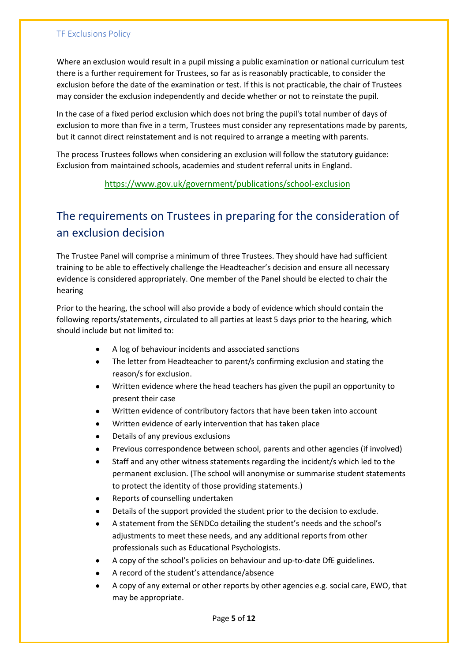Where an exclusion would result in a pupil missing a public examination or national curriculum test there is a further requirement for Trustees, so far as is reasonably practicable, to consider the exclusion before the date of the examination or test. If this is not practicable, the chair of Trustees may consider the exclusion independently and decide whether or not to reinstate the pupil.

In the case of a fixed period exclusion which does not bring the pupil's total number of days of exclusion to more than five in a term, Trustees must consider any representations made by parents, but it cannot direct reinstatement and is not required to arrange a meeting with parents.

The process Trustees follows when considering an exclusion will follow the statutory guidance: Exclusion from maintained schools, academies and student referral units in England.

#### <https://www.gov.uk/government/publications/school-exclusion>

# The requirements on Trustees in preparing for the consideration of an exclusion decision

The Trustee Panel will comprise a minimum of three Trustees. They should have had sufficient training to be able to effectively challenge the Headteacher's decision and ensure all necessary evidence is considered appropriately. One member of the Panel should be elected to chair the hearing

Prior to the hearing, the school will also provide a body of evidence which should contain the following reports/statements, circulated to all parties at least 5 days prior to the hearing, which should include but not limited to:

- A log of behaviour incidents and associated sanctions
- The letter from Headteacher to parent/s confirming exclusion and stating the reason/s for exclusion.
- Written evidence where the head teachers has given the pupil an opportunity to present their case
- Written evidence of contributory factors that have been taken into account
- Written evidence of early intervention that has taken place
- Details of any previous exclusions
- Previous correspondence between school, parents and other agencies (if involved)
- Staff and any other witness statements regarding the incident/s which led to the permanent exclusion. (The school will anonymise or summarise student statements to protect the identity of those providing statements.)
- Reports of counselling undertaken
- Details of the support provided the student prior to the decision to exclude.
- A statement from the SENDCo detailing the student's needs and the school's adjustments to meet these needs, and any additional reports from other professionals such as Educational Psychologists.
- A copy of the school's policies on behaviour and up-to-date DfE guidelines.
- A record of the student's attendance/absence
- A copy of any external or other reports by other agencies e.g. social care, EWO, that may be appropriate.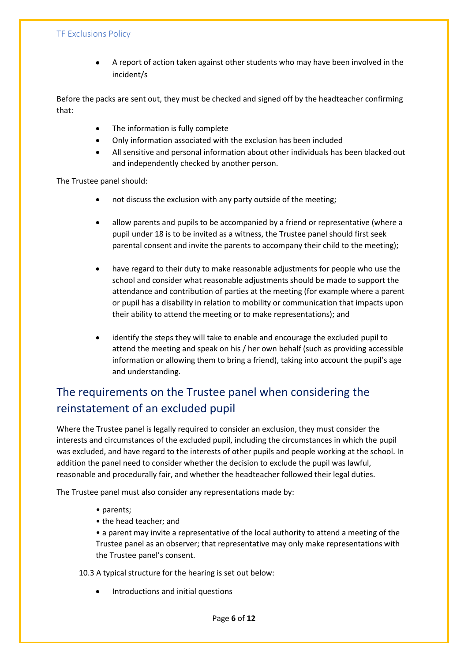• A report of action taken against other students who may have been involved in the incident/s

Before the packs are sent out, they must be checked and signed off by the headteacher confirming that:

- The information is fully complete
- Only information associated with the exclusion has been included
- All sensitive and personal information about other individuals has been blacked out and independently checked by another person.

The Trustee panel should:

- not discuss the exclusion with any party outside of the meeting;
- allow parents and pupils to be accompanied by a friend or representative (where a pupil under 18 is to be invited as a witness, the Trustee panel should first seek parental consent and invite the parents to accompany their child to the meeting);
- have regard to their duty to make reasonable adjustments for people who use the school and consider what reasonable adjustments should be made to support the attendance and contribution of parties at the meeting (for example where a parent or pupil has a disability in relation to mobility or communication that impacts upon their ability to attend the meeting or to make representations); and
- identify the steps they will take to enable and encourage the excluded pupil to attend the meeting and speak on his / her own behalf (such as providing accessible information or allowing them to bring a friend), taking into account the pupil's age and understanding.

# The requirements on the Trustee panel when considering the reinstatement of an excluded pupil

Where the Trustee panel is legally required to consider an exclusion, they must consider the interests and circumstances of the excluded pupil, including the circumstances in which the pupil was excluded, and have regard to the interests of other pupils and people working at the school. In addition the panel need to consider whether the decision to exclude the pupil was lawful, reasonable and procedurally fair, and whether the headteacher followed their legal duties.

The Trustee panel must also consider any representations made by:

- parents;
- the head teacher; and
- a parent may invite a representative of the local authority to attend a meeting of the Trustee panel as an observer; that representative may only make representations with the Trustee panel's consent.

10.3 A typical structure for the hearing is set out below:

• Introductions and initial questions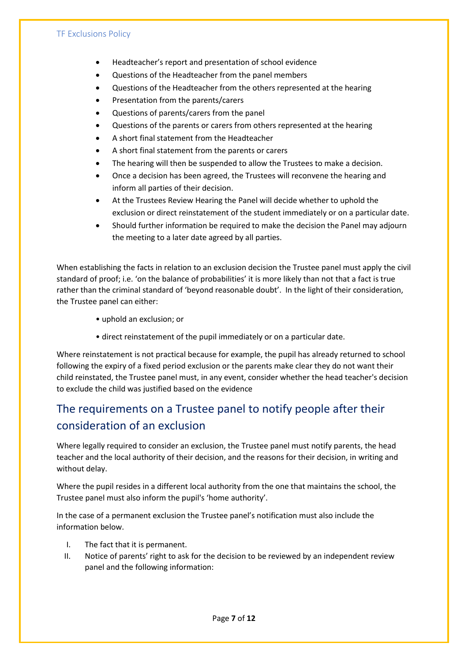- Headteacher's report and presentation of school evidence
- Questions of the Headteacher from the panel members
- Questions of the Headteacher from the others represented at the hearing
- Presentation from the parents/carers
- Questions of parents/carers from the panel
- Questions of the parents or carers from others represented at the hearing
- A short final statement from the Headteacher
- A short final statement from the parents or carers
- The hearing will then be suspended to allow the Trustees to make a decision.
- Once a decision has been agreed, the Trustees will reconvene the hearing and inform all parties of their decision.
- At the Trustees Review Hearing the Panel will decide whether to uphold the exclusion or direct reinstatement of the student immediately or on a particular date.
- Should further information be required to make the decision the Panel may adjourn the meeting to a later date agreed by all parties.

When establishing the facts in relation to an exclusion decision the Trustee panel must apply the civil standard of proof; i.e. 'on the balance of probabilities' it is more likely than not that a fact is true rather than the criminal standard of 'beyond reasonable doubt'. In the light of their consideration, the Trustee panel can either:

- uphold an exclusion; or
- direct reinstatement of the pupil immediately or on a particular date.

Where reinstatement is not practical because for example, the pupil has already returned to school following the expiry of a fixed period exclusion or the parents make clear they do not want their child reinstated, the Trustee panel must, in any event, consider whether the head teacher's decision to exclude the child was justified based on the evidence

# The requirements on a Trustee panel to notify people after their consideration of an exclusion

Where legally required to consider an exclusion, the Trustee panel must notify parents, the head teacher and the local authority of their decision, and the reasons for their decision, in writing and without delay.

Where the pupil resides in a different local authority from the one that maintains the school, the Trustee panel must also inform the pupil's 'home authority'.

In the case of a permanent exclusion the Trustee panel's notification must also include the information below.

- I. The fact that it is permanent.
- II. Notice of parents' right to ask for the decision to be reviewed by an independent review panel and the following information: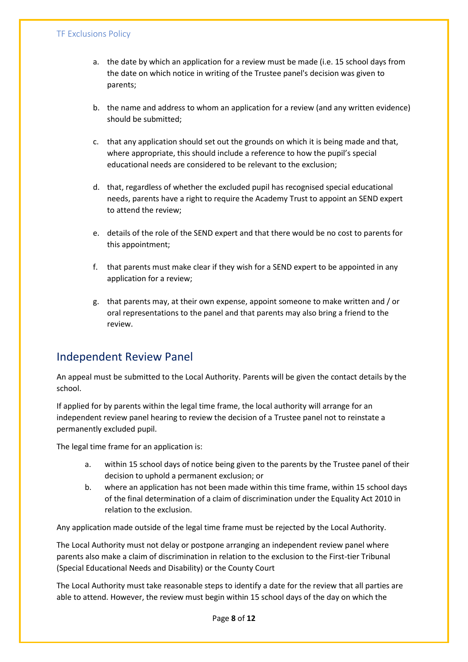- a. the date by which an application for a review must be made (i.e. 15 school days from the date on which notice in writing of the Trustee panel's decision was given to parents;
- b. the name and address to whom an application for a review (and any written evidence) should be submitted;
- c. that any application should set out the grounds on which it is being made and that, where appropriate, this should include a reference to how the pupil's special educational needs are considered to be relevant to the exclusion;
- d. that, regardless of whether the excluded pupil has recognised special educational needs, parents have a right to require the Academy Trust to appoint an SEND expert to attend the review;
- e. details of the role of the SEND expert and that there would be no cost to parents for this appointment;
- f. that parents must make clear if they wish for a SEND expert to be appointed in any application for a review;
- g. that parents may, at their own expense, appoint someone to make written and / or oral representations to the panel and that parents may also bring a friend to the review.

### Independent Review Panel

An appeal must be submitted to the Local Authority. Parents will be given the contact details by the school.

If applied for by parents within the legal time frame, the local authority will arrange for an independent review panel hearing to review the decision of a Trustee panel not to reinstate a permanently excluded pupil.

The legal time frame for an application is:

- a. within 15 school days of notice being given to the parents by the Trustee panel of their decision to uphold a permanent exclusion; or
- b. where an application has not been made within this time frame, within 15 school days of the final determination of a claim of discrimination under the Equality Act 2010 in relation to the exclusion.

Any application made outside of the legal time frame must be rejected by the Local Authority.

The Local Authority must not delay or postpone arranging an independent review panel where parents also make a claim of discrimination in relation to the exclusion to the First-tier Tribunal (Special Educational Needs and Disability) or the County Court

The Local Authority must take reasonable steps to identify a date for the review that all parties are able to attend. However, the review must begin within 15 school days of the day on which the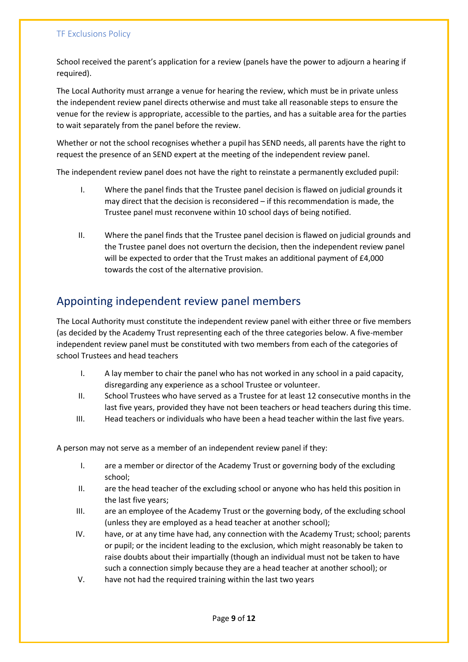School received the parent's application for a review (panels have the power to adjourn a hearing if required).

The Local Authority must arrange a venue for hearing the review, which must be in private unless the independent review panel directs otherwise and must take all reasonable steps to ensure the venue for the review is appropriate, accessible to the parties, and has a suitable area for the parties to wait separately from the panel before the review.

Whether or not the school recognises whether a pupil has SEND needs, all parents have the right to request the presence of an SEND expert at the meeting of the independent review panel.

The independent review panel does not have the right to reinstate a permanently excluded pupil:

- I. Where the panel finds that the Trustee panel decision is flawed on judicial grounds it may direct that the decision is reconsidered – if this recommendation is made, the Trustee panel must reconvene within 10 school days of being notified.
- II. Where the panel finds that the Trustee panel decision is flawed on judicial grounds and the Trustee panel does not overturn the decision, then the independent review panel will be expected to order that the Trust makes an additional payment of £4,000 towards the cost of the alternative provision.

# Appointing independent review panel members

The Local Authority must constitute the independent review panel with either three or five members (as decided by the Academy Trust representing each of the three categories below. A five-member independent review panel must be constituted with two members from each of the categories of school Trustees and head teachers

- I. A lay member to chair the panel who has not worked in any school in a paid capacity, disregarding any experience as a school Trustee or volunteer.
- II. School Trustees who have served as a Trustee for at least 12 consecutive months in the last five years, provided they have not been teachers or head teachers during this time.
- III. Head teachers or individuals who have been a head teacher within the last five years.

A person may not serve as a member of an independent review panel if they:

- I. are a member or director of the Academy Trust or governing body of the excluding school;
- II. are the head teacher of the excluding school or anyone who has held this position in the last five years;
- III. are an employee of the Academy Trust or the governing body, of the excluding school (unless they are employed as a head teacher at another school);
- IV. have, or at any time have had, any connection with the Academy Trust; school; parents or pupil; or the incident leading to the exclusion, which might reasonably be taken to raise doubts about their impartially (though an individual must not be taken to have such a connection simply because they are a head teacher at another school); or
- V. have not had the required training within the last two years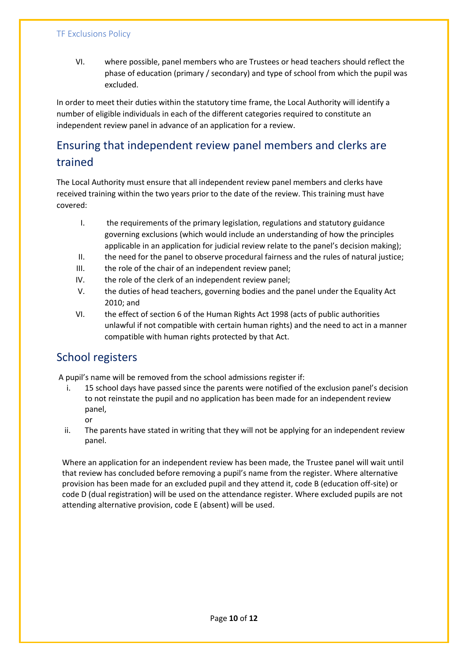VI. where possible, panel members who are Trustees or head teachers should reflect the phase of education (primary / secondary) and type of school from which the pupil was excluded.

In order to meet their duties within the statutory time frame, the Local Authority will identify a number of eligible individuals in each of the different categories required to constitute an independent review panel in advance of an application for a review.

# Ensuring that independent review panel members and clerks are trained

The Local Authority must ensure that all independent review panel members and clerks have received training within the two years prior to the date of the review. This training must have covered:

- I. the requirements of the primary legislation, regulations and statutory guidance governing exclusions (which would include an understanding of how the principles applicable in an application for judicial review relate to the panel's decision making);
- II. the need for the panel to observe procedural fairness and the rules of natural justice;
- III. the role of the chair of an independent review panel;
- IV. the role of the clerk of an independent review panel;
- V. the duties of head teachers, governing bodies and the panel under the Equality Act 2010; and
- VI. the effect of section 6 of the Human Rights Act 1998 (acts of public authorities unlawful if not compatible with certain human rights) and the need to act in a manner compatible with human rights protected by that Act.

# School registers

A pupil's name will be removed from the school admissions register if:

- i. 15 school days have passed since the parents were notified of the exclusion panel's decision to not reinstate the pupil and no application has been made for an independent review panel,
	- or
- ii. The parents have stated in writing that they will not be applying for an independent review panel.

Where an application for an independent review has been made, the Trustee panel will wait until that review has concluded before removing a pupil's name from the register. Where alternative provision has been made for an excluded pupil and they attend it, code B (education off-site) or code D (dual registration) will be used on the attendance register. Where excluded pupils are not attending alternative provision, code E (absent) will be used.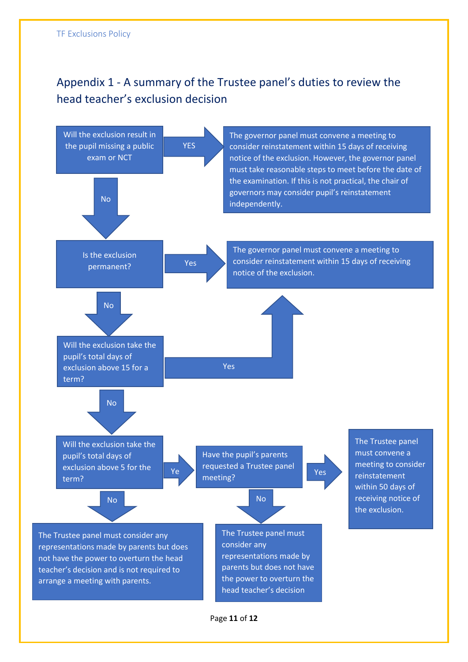# Appendix 1 - A summary of the Trustee panel's duties to review the head teacher's exclusion decision



Page **11** of **12**